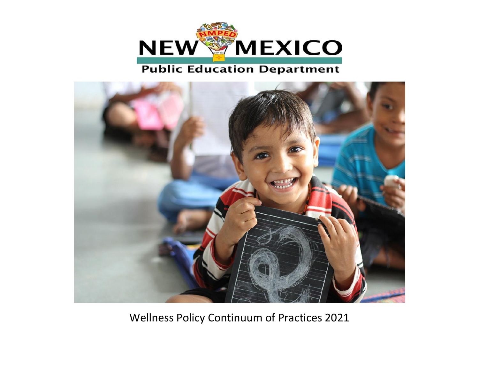

## **Public Education Department**



Wellness Policy Continuum of Practices 2021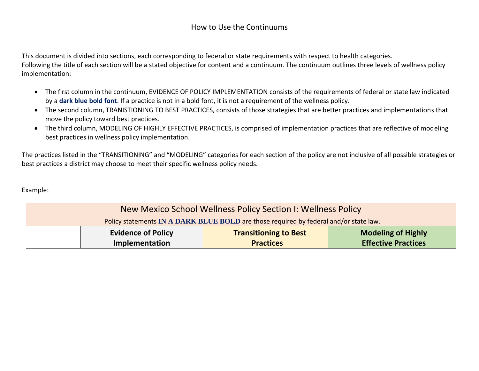## How to Use the Continuums

This document is divided into sections, each corresponding to federal or state requirements with respect to health categories. Following the title of each section will be a stated objective for content and a continuum. The continuum outlines three levels of wellness policy implementation:

- The first column in the continuum, EVIDENCE OF POLICY IMPLEMENTATION consists of the requirements of federal or state law indicated by a **dark blue bold font**. If a practice is not in a bold font, it is not a requirement of the wellness policy.
- The second column, TRANISTIONING TO BEST PRACTICES, consists of those strategies that are better practices and implementations that move the policy toward best practices.
- The third column, MODELING OF HIGHLY EFFECTIVE PRACTICES, is comprised of implementation practices that are reflective of modeling best practices in wellness policy implementation.

The practices listed in the "TRANSITIONING" and "MODELING" categories for each section of the policy are not inclusive of all possible strategies or best practices a district may choose to meet their specific wellness policy needs.

Example:

| New Mexico School Wellness Policy Section I: Wellness Policy                          |                                                                                        |                  |                            |  |
|---------------------------------------------------------------------------------------|----------------------------------------------------------------------------------------|------------------|----------------------------|--|
| Policy statements IN A DARK BLUE BOLD are those required by federal and/or state law. |                                                                                        |                  |                            |  |
|                                                                                       | <b>Evidence of Policy</b><br><b>Modeling of Highly</b><br><b>Transitioning to Best</b> |                  |                            |  |
|                                                                                       | Implementation                                                                         | <b>Practices</b> | <b>Effective Practices</b> |  |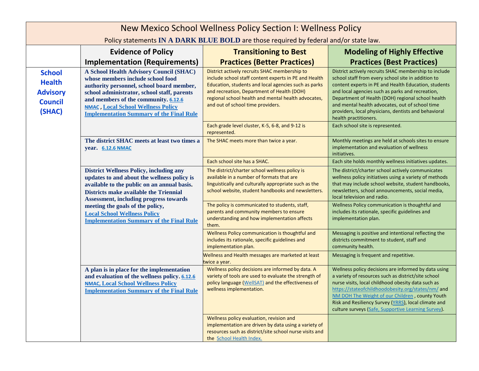| New Mexico School Wellness Policy Section I: Wellness Policy                  |                                                                                                                                                                                                                                                                                                                                                                              |                                                                                                                                                                                                                                                                                                          |                                                                                                                                                                                                                                                                                                                                                                                                                  |  |
|-------------------------------------------------------------------------------|------------------------------------------------------------------------------------------------------------------------------------------------------------------------------------------------------------------------------------------------------------------------------------------------------------------------------------------------------------------------------|----------------------------------------------------------------------------------------------------------------------------------------------------------------------------------------------------------------------------------------------------------------------------------------------------------|------------------------------------------------------------------------------------------------------------------------------------------------------------------------------------------------------------------------------------------------------------------------------------------------------------------------------------------------------------------------------------------------------------------|--|
|                                                                               | Policy statements IN A DARK BLUE BOLD are those required by federal and/or state law.                                                                                                                                                                                                                                                                                        |                                                                                                                                                                                                                                                                                                          |                                                                                                                                                                                                                                                                                                                                                                                                                  |  |
|                                                                               | <b>Evidence of Policy</b>                                                                                                                                                                                                                                                                                                                                                    | <b>Transitioning to Best</b>                                                                                                                                                                                                                                                                             | <b>Modeling of Highly Effective</b>                                                                                                                                                                                                                                                                                                                                                                              |  |
|                                                                               | <b>Implementation (Requirements)</b>                                                                                                                                                                                                                                                                                                                                         | <b>Practices (Better Practices)</b>                                                                                                                                                                                                                                                                      | <b>Practices (Best Practices)</b>                                                                                                                                                                                                                                                                                                                                                                                |  |
| <b>School</b><br><b>Health</b><br><b>Advisory</b><br><b>Council</b><br>(SHAC) | A School Health Advisory Council (SHAC)<br>whose members include school food<br>authority personnel, school board member,<br>school administrator, school staff, parents<br>and members of the community. 6.12.6<br><b>NMAC</b> , Local School Wellness Policy<br><b>Implementation Summary of the Final Rule</b>                                                            | District actively recruits SHAC membership to<br>include school staff content experts in PE and Health<br>Education, students and local agencies such as parks<br>and recreation, Department of Health (DOH)<br>regional school health and mental health advocates,<br>and out of school time providers. | District actively recruits SHAC membership to include<br>school staff from every school site in addition to<br>content experts in PE and Health Education, students<br>and local agencies such as parks and recreation,<br>Department of Health (DOH) regional school health<br>and mental health advocates, out of school time<br>providers, local physicians, dentists and behavioral<br>health practitioners. |  |
|                                                                               |                                                                                                                                                                                                                                                                                                                                                                              | Each grade level cluster, K-5, 6-8, and 9-12 is<br>represented.                                                                                                                                                                                                                                          | Each school site is represented.                                                                                                                                                                                                                                                                                                                                                                                 |  |
|                                                                               | The district SHAC meets at least two times a<br>year. 6.12.6 NMAC                                                                                                                                                                                                                                                                                                            | The SHAC meets more than twice a year.                                                                                                                                                                                                                                                                   | Monthly meetings are held at schools sites to ensure<br>implementation and evaluation of wellness<br>initiatives.                                                                                                                                                                                                                                                                                                |  |
|                                                                               |                                                                                                                                                                                                                                                                                                                                                                              | Each school site has a SHAC.                                                                                                                                                                                                                                                                             | Each site holds monthly wellness initiatives updates.                                                                                                                                                                                                                                                                                                                                                            |  |
|                                                                               | <b>District Wellness Policy, including any</b><br>updates to and about the wellness policy is<br>available to the public on an annual basis.<br><b>Districts make available the Triennial</b><br><b>Assessment, including progress towards</b><br>meeting the goals of the policy,<br><b>Local School Wellness Policy</b><br><b>Implementation Summary of the Final Rule</b> | The district/charter school wellness policy is<br>available in a number of formats that are<br>linguistically and culturally appropriate such as the<br>school website, student handbooks and newsletters.                                                                                               | The district/charter school actively communicates<br>wellness policy initiatives using a variety of methods<br>that may include school website, student handbooks,<br>newsletters, school announcements, social media,<br>local television and radio.                                                                                                                                                            |  |
|                                                                               |                                                                                                                                                                                                                                                                                                                                                                              | The policy is communicated to students, staff,<br>parents and community members to ensure<br>understanding and how implementation affects<br>them.                                                                                                                                                       | Wellness Policy communication is thoughtful and<br>includes its rationale, specific guidelines and<br>implementation plan.                                                                                                                                                                                                                                                                                       |  |
|                                                                               |                                                                                                                                                                                                                                                                                                                                                                              | Wellness Policy communication is thoughtful and<br>includes its rationale, specific guidelines and<br>implementation plan.                                                                                                                                                                               | Messaging is positive and intentional reflecting the<br>districts commitment to student, staff and<br>community health.                                                                                                                                                                                                                                                                                          |  |
|                                                                               |                                                                                                                                                                                                                                                                                                                                                                              | Wellness and Health messages are marketed at least<br>twice a year.                                                                                                                                                                                                                                      | Messaging is frequent and repetitive.                                                                                                                                                                                                                                                                                                                                                                            |  |
|                                                                               | A plan is in place for the implementation<br>and evaluation of the wellness policy. 6.12.6<br><b>NMAC, Local School Wellness Policy</b><br><b>Implementation Summary of the Final Rule</b>                                                                                                                                                                                   | Wellness policy decisions are informed by data. A<br>variety of tools are used to evaluate the strength of<br>policy language (WellSAT) and the effectiveness of<br>wellness implementation.                                                                                                             | Wellness policy decisions are informed by data using<br>a variety of resources such as district/site school<br>nurse visits, local childhood obesity data such as<br>https://stateofchildhoodobesity.org/states/nm/ and<br>NM DOH The Weight of our Children, county Youth<br>Risk and Resiliency Survey (YRRS), local climate and<br>culture surveys (Safe, Supportive Learning Survey).                        |  |
|                                                                               |                                                                                                                                                                                                                                                                                                                                                                              | Wellness policy evaluation, revision and<br>implementation are driven by data using a variety of<br>resources such as district/site school nurse visits and<br>the School Health Index.                                                                                                                  |                                                                                                                                                                                                                                                                                                                                                                                                                  |  |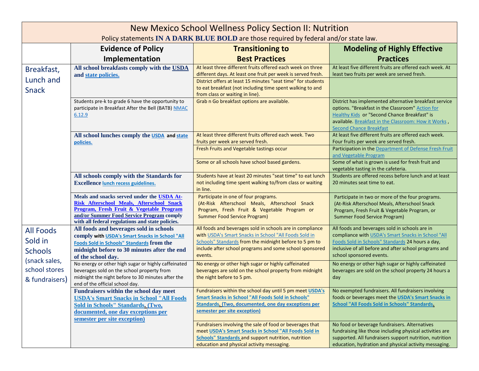| New Mexico School Wellness Policy Section II: Nutrition<br>Policy statements IN A DARK BLUE BOLD are those required by federal and/or state law. |                                                                                                                                                                                                                                      |                                                                                                                                                                                                                                                                                            |                                                                                                                                                                                                                                                      |  |  |
|--------------------------------------------------------------------------------------------------------------------------------------------------|--------------------------------------------------------------------------------------------------------------------------------------------------------------------------------------------------------------------------------------|--------------------------------------------------------------------------------------------------------------------------------------------------------------------------------------------------------------------------------------------------------------------------------------------|------------------------------------------------------------------------------------------------------------------------------------------------------------------------------------------------------------------------------------------------------|--|--|
|                                                                                                                                                  | <b>Evidence of Policy</b><br><b>Modeling of Highly Effective</b><br><b>Transitioning to</b>                                                                                                                                          |                                                                                                                                                                                                                                                                                            |                                                                                                                                                                                                                                                      |  |  |
|                                                                                                                                                  | Implementation                                                                                                                                                                                                                       | <b>Best Practices</b>                                                                                                                                                                                                                                                                      | <b>Practices</b>                                                                                                                                                                                                                                     |  |  |
| Breakfast,<br>Lunch and<br><b>Snack</b>                                                                                                          | All school breakfasts comply with the USDA<br>and state policies.                                                                                                                                                                    | At least three different fruits offered each week on three<br>different days. At least one fruit per week is served fresh.<br>District offers at least 15 minutes "seat time" for students<br>to eat breakfast (not including time spent walking to and<br>from class or waiting in line). | At least five different fruits are offered each week. At<br>least two fruits per week are served fresh.                                                                                                                                              |  |  |
|                                                                                                                                                  | Students pre-k to grade 6 have the opportunity to<br>participate in Breakfast After the Bell (BATB) NMAC<br>6.12.9                                                                                                                   | Grab n Go breakfast options are available.                                                                                                                                                                                                                                                 | District has implemented alternative breakfast service<br>options. "Breakfast in the Classroom" Action for<br>Healthy Kids or "Second Chance Breakfast" is<br>available. Breakfast in the Classroom: How it Works,<br><b>Second Chance Breakfast</b> |  |  |
|                                                                                                                                                  | All school lunches comply the USDA and state<br>policies.                                                                                                                                                                            | At least three different fruits offered each week. Two<br>fruits per week are served fresh.<br>Fresh Fruits and Vegetable tastings occur                                                                                                                                                   | At least five different fruits are offered each week.<br>Four fruits per week are served fresh.<br>Participation in the Department of Defense Fresh Fruit                                                                                            |  |  |
|                                                                                                                                                  |                                                                                                                                                                                                                                      | Some or all schools have school based gardens.                                                                                                                                                                                                                                             | and Vegetable Program<br>Some of what is grown is used for fresh fruit and<br>vegetable tasting in the cafeteria.                                                                                                                                    |  |  |
|                                                                                                                                                  | All schools comply with the Standards for<br><b>Excellence lunch recess guidelines.</b>                                                                                                                                              | Students have at least 20 minutes "seat time" to eat lunch<br>not including time spent walking to/from class or waiting<br>in line.                                                                                                                                                        | Students are offered recess before lunch and at least<br>20 minutes seat time to eat.                                                                                                                                                                |  |  |
|                                                                                                                                                  | Meals and snacks served under the USDA At-<br>Risk Afterschool Meals, Afterschool Snack<br>Program, Fresh Fruit & Vegetable Program<br>and/or Summer Food Service Program comply<br>with all federal regulations and state policies. | Participate in one of four programs.<br>(At-Risk Afterschool Meals, Afterschool Snack<br>Program, Fresh Fruit & Vegetable Program or<br>Summer Food Service Program)                                                                                                                       | Participate in two or more of the four programs.<br>(At-Risk Afterschool Meals, Afterschool Snack<br>Program, Fresh Fruit & Vegetable Program, or<br>Summer Food Service Program)                                                                    |  |  |
| <b>All Foods</b><br>Sold in<br><b>Schools</b><br>(snack sales,<br>school stores<br>& fundraisers)                                                | All foods and beverages sold in schools<br>comply with USDA's Smart Snacks in School "All<br>Foods Sold in Schools" Standards from the<br>midnight before to 30 minutes after the end<br>of the school day.                          | All foods and beverages sold in schools are in compliance<br>with USDA's Smart Snacks in School "All Foods Sold in<br>Schools" Standards from the midnight before to 5 pm to<br>include after school programs and some school sponsored<br>events.                                         | All foods and beverages sold in schools are in<br>compliance with USDA's Smart Snacks in School "All<br>Foods Sold in Schools" Standards 24 hours a day,<br>inclusive of all before and after school programs and<br>school sponsored events.        |  |  |
|                                                                                                                                                  | No energy or other high sugar or highly caffeinated<br>beverages sold on the school property from<br>midnight the night before to 30 minutes after the<br>end of the official school day.                                            | No energy or other high sugar or highly caffeinated<br>beverages are sold on the school property from midnight<br>the night before to 5 pm.                                                                                                                                                | No energy or other high sugar or highly caffeinated<br>beverages are sold on the school property 24 hours a<br>day                                                                                                                                   |  |  |
|                                                                                                                                                  | Fundraisers within the school day meet<br><b>USDA's Smart Snacks in School "All Foods</b><br><b>Sold in Schools" Standards. (Two,</b><br>documented, one day exceptions per<br>semester per site exception)                          | Fundraisers within the school day until 5 pm meet USDA's<br><b>Smart Snacks in School "All Foods Sold in Schools"</b><br>Standards. (Two, documented, one day exceptions per<br>semester per site exception)                                                                               | No exempted fundraisers. All fundraisers involving<br>foods or beverages meet the USDA's Smart Snacks in<br>School "All Foods Sold in Schools" Standards.                                                                                            |  |  |
|                                                                                                                                                  |                                                                                                                                                                                                                                      | Fundraisers involving the sale of food or beverages that<br>meet USDA's Smart Snacks in School "All Foods Sold in<br><b>Schools" Standards and support nutrition, nutrition</b><br>education and physical activity messaging.                                                              | No food or beverage fundraisers. Alternatives<br>fundraising like those including physical activities are<br>supported. All fundraisers support nutrition, nutrition<br>education, hydration and physical activity messaging.                        |  |  |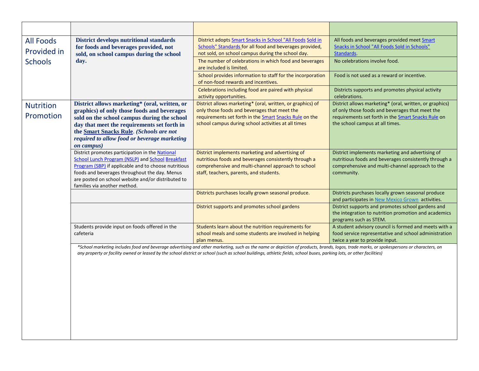| <b>All Foods</b><br>Provided in | <b>District develops nutritional standards</b><br>for foods and beverages provided, not<br>sold, on school campus during the school                                                                                                                                                                                 | District adopts Smart Snacks in School "All Foods Sold in<br>Schools" Standards for all food and beverages provided,<br>not sold, on school campus during the school day.                                                                                                                                                                                         | All foods and beverages provided meet Smart<br>Snacks in School "All Foods Sold in Schools"<br>Standards.                                                                                           |
|---------------------------------|---------------------------------------------------------------------------------------------------------------------------------------------------------------------------------------------------------------------------------------------------------------------------------------------------------------------|-------------------------------------------------------------------------------------------------------------------------------------------------------------------------------------------------------------------------------------------------------------------------------------------------------------------------------------------------------------------|-----------------------------------------------------------------------------------------------------------------------------------------------------------------------------------------------------|
| <b>Schools</b>                  | day.                                                                                                                                                                                                                                                                                                                | The number of celebrations in which food and beverages<br>are included is limited.                                                                                                                                                                                                                                                                                | No celebrations involve food.                                                                                                                                                                       |
|                                 |                                                                                                                                                                                                                                                                                                                     | School provides information to staff for the incorporation<br>of non-food rewards and incentives.                                                                                                                                                                                                                                                                 | Food is not used as a reward or incentive.                                                                                                                                                          |
|                                 |                                                                                                                                                                                                                                                                                                                     | Celebrations including food are paired with physical<br>activity opportunities.                                                                                                                                                                                                                                                                                   | Districts supports and promotes physical activity<br>celebrations.                                                                                                                                  |
| <b>Nutrition</b><br>Promotion   | District allows marketing* (oral, written, or<br>graphics) of only those foods and beverages<br>sold on the school campus during the school<br>day that meet the requirements set forth in<br>the <b>Smart Snacks Rule</b> . (Schools are not<br>required to allow food or beverage marketing<br><i>on campus</i> ) | District allows marketing* (oral, written, or graphics) of<br>only those foods and beverages that meet the<br>requirements set forth in the Smart Snacks Rule on the<br>school campus during school activities at all times                                                                                                                                       | District allows marketing* (oral, written, or graphics)<br>of only those foods and beverages that meet the<br>requirements set forth in the Smart Snacks Rule on<br>the school campus at all times. |
|                                 | District promotes participation in the National<br>School Lunch Program (NSLP) and School Breakfast<br>Program (SBP) if applicable and to choose nutritious<br>foods and beverages throughout the day. Menus<br>are posted on school website and/or distributed to<br>families via another method.                  | District implements marketing and advertising of<br>nutritious foods and beverages consistently through a<br>comprehensive and multi-channel approach to school<br>staff, teachers, parents, and students.                                                                                                                                                        | District implements marketing and advertising of<br>nutritious foods and beverages consistently through a<br>comprehensive and multi-channel approach to the<br>community.                          |
|                                 |                                                                                                                                                                                                                                                                                                                     | Districts purchases locally grown seasonal produce.                                                                                                                                                                                                                                                                                                               | Districts purchases locally grown seasonal produce<br>and participates in New Mexico Grown activities.                                                                                              |
|                                 |                                                                                                                                                                                                                                                                                                                     | District supports and promotes school gardens                                                                                                                                                                                                                                                                                                                     | District supports and promotes school gardens and<br>the integration to nutrition promotion and academics<br>programs such as STEM.                                                                 |
|                                 | Students provide input on foods offered in the<br>cafeteria                                                                                                                                                                                                                                                         | Students learn about the nutrition requirements for<br>school meals and some students are involved in helping<br>plan menus.                                                                                                                                                                                                                                      | A student advisory council is formed and meets with a<br>food service representative and school administration<br>twice a year to provide input.                                                    |
|                                 |                                                                                                                                                                                                                                                                                                                     | *School marketing includes food and beverage advertising and other marketing, such as the name or depiction of products, brands, logos, trade marks, or spokespersons or characters, on<br>any property or facility owned or leased by the school district or school (such as school buildings, athletic fields, school buses, parking lots, or other facilities) |                                                                                                                                                                                                     |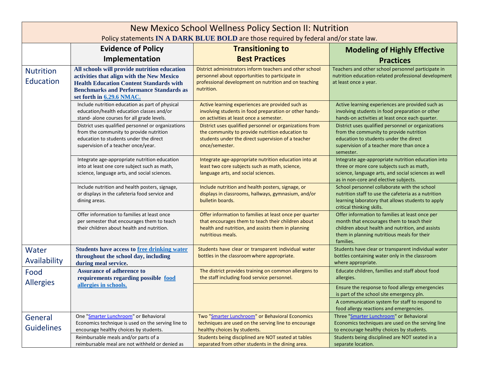| New Mexico School Wellness Policy Section II: Nutrition<br>Policy statements IN A DARK BLUE BOLD are those required by federal and/or state law. |                                                                                                                                                                                                                            |                                                                                                                                                                                          |                                                                                                                                                                                                              |
|--------------------------------------------------------------------------------------------------------------------------------------------------|----------------------------------------------------------------------------------------------------------------------------------------------------------------------------------------------------------------------------|------------------------------------------------------------------------------------------------------------------------------------------------------------------------------------------|--------------------------------------------------------------------------------------------------------------------------------------------------------------------------------------------------------------|
|                                                                                                                                                  | <b>Evidence of Policy</b>                                                                                                                                                                                                  | <b>Transitioning to</b>                                                                                                                                                                  | <b>Modeling of Highly Effective</b>                                                                                                                                                                          |
|                                                                                                                                                  | Implementation                                                                                                                                                                                                             | <b>Best Practices</b>                                                                                                                                                                    | <b>Practices</b>                                                                                                                                                                                             |
| <b>Nutrition</b><br>Education                                                                                                                    | All schools will provide nutrition education<br>activities that align with the New Mexico<br><b>Health Education Content Standards with</b><br><b>Benchmarks and Performance Standards as</b><br>set forth in 6.29.6 NMAC. | District administrators inform teachers and other school<br>personnel about opportunities to participate in<br>professional development on nutrition and on teaching<br>nutrition.       | Teachers and other school personnel participate in<br>nutrition education-related professional development<br>at least once a year.                                                                          |
|                                                                                                                                                  | Include nutrition education as part of physical<br>education/health education classes and/or<br>stand- alone courses for all grade levels.                                                                                 | Active learning experiences are provided such as<br>involving students in food preparation or other hands-<br>on activities at least once a semester.                                    | Active learning experiences are provided such as<br>involving students in food preparation or other<br>hands-on activities at least once each quarter.                                                       |
|                                                                                                                                                  | District uses qualified personnel or organizations<br>from the community to provide nutrition<br>education to students under the direct<br>supervision of a teacher once/year.                                             | District uses qualified personnel or organizations from<br>the community to provide nutrition education to<br>students under the direct supervision of a teacher<br>once/semester.       | District uses qualified personnel or organizations<br>from the community to provide nutrition<br>education to students under the direct<br>supervision of a teacher more than once a<br>semester.            |
|                                                                                                                                                  | Integrate age-appropriate nutrition education<br>into at least one core subject such as math,<br>science, language arts, and social sciences.                                                                              | Integrate age-appropriate nutrition education into at<br>least two core subjects such as math, science,<br>language arts, and social sciences.                                           | Integrate age-appropriate nutrition education into<br>three or more core subjects such as math,<br>science, language arts, and social sciences as well<br>as in non-core and elective subjects.              |
|                                                                                                                                                  | Include nutrition and health posters, signage,<br>or displays in the cafeteria food service and<br>dining areas.                                                                                                           | Include nutrition and health posters, signage, or<br>displays in classrooms, hallways, gymnasium, and/or<br>bulletin boards.                                                             | School personnel collaborate with the school<br>nutrition staff to use the cafeteria as a nutrition<br>learning laboratory that allows students to apply<br>critical thinking skills.                        |
|                                                                                                                                                  | Offer information to families at least once<br>per semester that encourages them to teach<br>their children about health and nutrition.                                                                                    | Offer information to families at least once per quarter<br>that encourages them to teach their children about<br>health and nutrition, and assists them in planning<br>nutritious meals. | Offer information to families at least once per<br>month that encourages them to teach their<br>children about health and nutrition, and assists<br>them in planning nutritious meals for their<br>families. |
| Water<br>Availability                                                                                                                            | <b>Students have access to free drinking water</b><br>throughout the school day, including<br>during meal service.                                                                                                         | Students have clear or transparent individual water<br>bottles in the classroom where appropriate.                                                                                       | Students have clear or transparent individual water<br>bottles containing water only in the classroom<br>where appropriate.                                                                                  |
| Food<br><b>Allergies</b>                                                                                                                         | <b>Assurance of adherence to</b><br>requirements regarding possible food                                                                                                                                                   | The district provides training on common allergens to<br>the staff including food service personnel.                                                                                     | Educate children, families and staff about food<br>allergies.                                                                                                                                                |
|                                                                                                                                                  | allergies in schools.                                                                                                                                                                                                      |                                                                                                                                                                                          | Ensure the response to food allergy emergencies<br>is part of the school site emergency pln.<br>A communication system for staff to respond to<br>food allergy reactions and emergencies.                    |
| General                                                                                                                                          | One "Smarter Lunchroom" or Behavioral                                                                                                                                                                                      | Two "Smarter Lunchroom" or Behavioral Economics                                                                                                                                          | Three "Smarter Lunchroom" or Behavioral                                                                                                                                                                      |
| <b>Guidelines</b>                                                                                                                                | Economics technique is used on the serving line to<br>encourage healthy choices by students.                                                                                                                               | techniques are used on the serving line to encourage<br>healthy choices by students.                                                                                                     | Economics techniques are used on the serving line<br>to encourage healthy choices by students.                                                                                                               |
|                                                                                                                                                  | Reimbursable meals and/or parts of a<br>reimbursable meal are not withheld or denied as                                                                                                                                    | Students being disciplined are NOT seated at tables<br>separated from other students in the dining area.                                                                                 | Students being disciplined are NOT seated in a<br>separate location.                                                                                                                                         |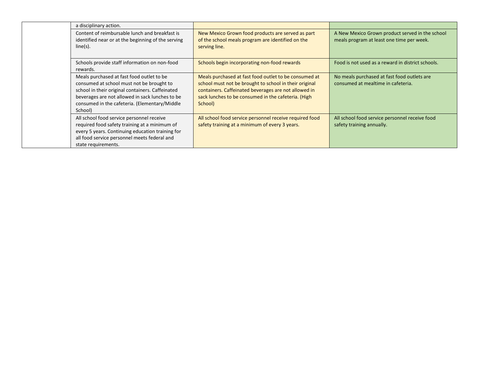|  | a disciplinary action.                                                                                                                                                                                                                                    |                                                                                                                                                                                                                                           |                                                                                              |
|--|-----------------------------------------------------------------------------------------------------------------------------------------------------------------------------------------------------------------------------------------------------------|-------------------------------------------------------------------------------------------------------------------------------------------------------------------------------------------------------------------------------------------|----------------------------------------------------------------------------------------------|
|  | Content of reimbursable lunch and breakfast is<br>identified near or at the beginning of the serving<br>$line(s)$ .                                                                                                                                       | New Mexico Grown food products are served as part<br>of the school meals program are identified on the<br>serving line.                                                                                                                   | A New Mexico Grown product served in the school<br>meals program at least one time per week. |
|  | Schools provide staff information on non-food<br>rewards.                                                                                                                                                                                                 | Schools begin incorporating non-food rewards                                                                                                                                                                                              | Food is not used as a reward in district schools.                                            |
|  | Meals purchased at fast food outlet to be<br>consumed at school must not be brought to<br>school in their original containers. Caffeinated<br>beverages are not allowed in sack lunches to be<br>consumed in the cafeteria. (Elementary/Middle<br>School) | Meals purchased at fast food outlet to be consumed at<br>school must not be brought to school in their original<br>containers. Caffeinated beverages are not allowed in<br>sack lunches to be consumed in the cafeteria. (High<br>School) | No meals purchased at fast food outlets are<br>consumed at mealtime in cafeteria.            |
|  | All school food service personnel receive<br>required food safety training at a minimum of<br>every 5 years. Continuing education training for<br>all food service personnel meets federal and<br>state requirements.                                     | All school food service personnel receive required food<br>safety training at a minimum of every 3 years.                                                                                                                                 | All school food service personnel receive food<br>safety training annually.                  |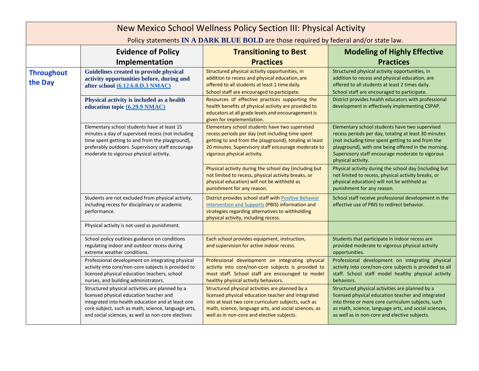| New Mexico School Wellness Policy Section III: Physical Activity |                                                                                                                                                                                                                                                              |                                                                                                                                                                                                                                                                     |                                                                                                                                                                                                                                                                                              |  |
|------------------------------------------------------------------|--------------------------------------------------------------------------------------------------------------------------------------------------------------------------------------------------------------------------------------------------------------|---------------------------------------------------------------------------------------------------------------------------------------------------------------------------------------------------------------------------------------------------------------------|----------------------------------------------------------------------------------------------------------------------------------------------------------------------------------------------------------------------------------------------------------------------------------------------|--|
|                                                                  | Policy statements IN A DARK BLUE BOLD are those required by federal and/or state law.                                                                                                                                                                        |                                                                                                                                                                                                                                                                     |                                                                                                                                                                                                                                                                                              |  |
|                                                                  | <b>Evidence of Policy</b>                                                                                                                                                                                                                                    | <b>Transitioning to Best</b>                                                                                                                                                                                                                                        | <b>Modeling of Highly Effective</b>                                                                                                                                                                                                                                                          |  |
|                                                                  | Implementation                                                                                                                                                                                                                                               | <b>Practices</b>                                                                                                                                                                                                                                                    | <b>Practices</b>                                                                                                                                                                                                                                                                             |  |
| <b>Throughout</b><br>the Day                                     | Guidelines created to provide physical<br>activity opportunities before, during and<br>after school (6.12.6.8.D.3 NMAC)                                                                                                                                      | Structured physical activity opportunities, in<br>addition to recess and physical education, are<br>offered to all students at least 1 time daily.<br>School staff are encouraged to participate.                                                                   | Structured physical activity opportunities, in<br>addition to recess and physical education, are<br>offered to all students at least 2 times daily.<br>School staff are encouraged to participate.                                                                                           |  |
|                                                                  | Physical activity is included as a health<br>education topic (6.29.9 NMAC)                                                                                                                                                                                   | Resources of effective practices supporting the<br>health benefits of physical activity are provided to<br>educators at all grade levels and encouragement is<br>given for implementation.                                                                          | District provides health educators with professional<br>development in effectively implementing CSPAP.                                                                                                                                                                                       |  |
|                                                                  | Elementary school students have at least 15<br>minutes a day of supervised recess (not including<br>time spent getting to and from the playground),<br>preferably outdoors. Supervisory staff encourage<br>moderate to vigorous physical activity.           | Elementary school students have two supervised<br>recess periods per day (not including time spent<br>getting to and from the playground), totaling at least<br>20 minutes. Supervisory staff encourage moderate to<br>vigorous physical activity.                  | Elementary school students have two supervised<br>recess periods per day, totaling at least 30 minutes<br>(not including time spent getting to and from the<br>playground), with one being offered in the morning.<br>Supervisory staff encourage moderate to vigorous<br>physical activity. |  |
|                                                                  |                                                                                                                                                                                                                                                              | Physical activity during the school day (including but<br>not limited to recess, physical activity breaks, or<br>physical education) will not be withheld as<br>punishment for any reason.                                                                          | Physical activity during the school day (including but<br>not limited to recess, physical activity breaks, or<br>physical education) will not be withheld as<br>punishment for any reason.                                                                                                   |  |
|                                                                  | Students are not excluded from physical activity,<br>including recess for disciplinary or academic<br>performance.                                                                                                                                           | District provides school staff with Positive Behavior<br>Intervention and Supports (PBIS) information and<br>strategies regarding alternatives to withholding<br>physical activity, including recess.                                                               | School staff receive professional development in the<br>effective use of PBIS to redirect behavior.                                                                                                                                                                                          |  |
|                                                                  | Physical activity is not used as punishment.                                                                                                                                                                                                                 |                                                                                                                                                                                                                                                                     |                                                                                                                                                                                                                                                                                              |  |
|                                                                  | School policy outlines guidance on conditions<br>regulating indoor and outdoor recess during<br>extreme weather conditions.                                                                                                                                  | Each school provides equipment, instruction,<br>and supervision for active indoor recess.                                                                                                                                                                           | Students that participate in indoor recess are<br>provided moderate to vigorous physical activity<br>opportunities.                                                                                                                                                                          |  |
|                                                                  | Professional development on integrating physical<br>activity into core/non-core subjects is provided to<br>licensed physical education teachers, school<br>nurses, and building administrators.                                                              | Professional development on integrating physical<br>activity into core/non-core subjects is provided to<br>most staff. School staff are encouraged to model<br>healthy physical activity behaviors.                                                                 | Professional development on integrating physical<br>activity into core/non-core subjects is provided to all<br>staff. School staff model healthy physical activity<br>behaviors.                                                                                                             |  |
|                                                                  | Structured physical activities are planned by a<br>licensed physical education teacher and<br>integrated into health education and at least one<br>core subject, such as math, science, language arts,<br>and social sciences, as well as non-core electives | Structured physical activities are planned by a<br>licensed physical education teacher and integrated<br>into at least two core curriculum subjects, such as<br>math, science, language arts, and social sciences, as<br>well as in non-core and elective subjects. | Structured physical activities are planned by a<br>licensed physical education teacher and integrated<br>into three or more core curriculum subjects, such<br>as math, science, language arts, and social sciences,<br>as well as in non-core and elective subjects.                         |  |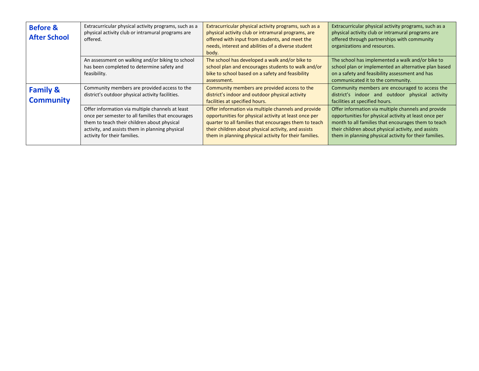| <b>Before &amp;</b><br><b>After School</b> | Extracurricular physical activity programs, such as a<br>physical activity club or intramural programs are<br>offered.                                                                                                                  | Extracurricular physical activity programs, such as a<br>physical activity club or intramural programs, are<br>offered with input from students, and meet the<br>needs, interest and abilities of a diverse student<br>body.                                                           | Extracurricular physical activity programs, such as a<br>physical activity club or intramural programs are<br>offered through partnerships with community<br>organizations and resources.                                                                                            |
|--------------------------------------------|-----------------------------------------------------------------------------------------------------------------------------------------------------------------------------------------------------------------------------------------|----------------------------------------------------------------------------------------------------------------------------------------------------------------------------------------------------------------------------------------------------------------------------------------|--------------------------------------------------------------------------------------------------------------------------------------------------------------------------------------------------------------------------------------------------------------------------------------|
|                                            | An assessment on walking and/or biking to school<br>has been completed to determine safety and<br>feasibility.                                                                                                                          | The school has developed a walk and/or bike to<br>school plan and encourages students to walk and/or<br>bike to school based on a safety and feasibility<br>assessment.                                                                                                                | The school has implemented a walk and/or bike to<br>school plan or implemented an alternative plan based<br>on a safety and feasibility assessment and has<br>communicated it to the community.                                                                                      |
| <b>Family &amp;</b><br><b>Community</b>    | Community members are provided access to the<br>district's outdoor physical activity facilities.                                                                                                                                        | Community members are provided access to the<br>district's indoor and outdoor physical activity<br>facilities at specified hours.                                                                                                                                                      | Community members are encouraged to access the<br>district's indoor and outdoor physical<br>activity<br>facilities at specified hours.                                                                                                                                               |
|                                            | Offer information via multiple channels at least<br>once per semester to all families that encourages<br>them to teach their children about physical<br>activity, and assists them in planning physical<br>activity for their families. | Offer information via multiple channels and provide<br>opportunities for physical activity at least once per<br>quarter to all families that encourages them to teach<br>their children about physical activity, and assists<br>them in planning physical activity for their families. | Offer information via multiple channels and provide<br>opportunities for physical activity at least once per<br>month to all families that encourages them to teach<br>their children about physical activity, and assists<br>them in planning physical activity for their families. |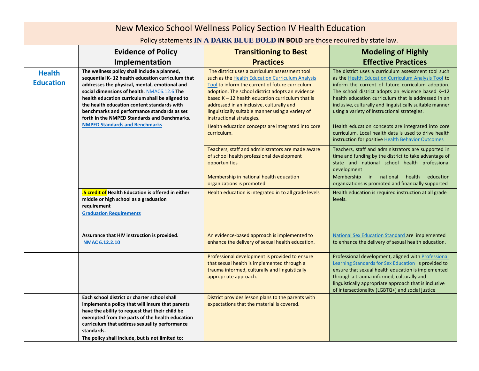| New Mexico School Wellness Policy Section IV Health Education                  |                                                                                                                                                                                                                                                                                                                                                                                                   |                                                                                                                                                                                                                                                                                                                                                                                                |                                                                                                                                                                                                                                                                                                                                                                                         |
|--------------------------------------------------------------------------------|---------------------------------------------------------------------------------------------------------------------------------------------------------------------------------------------------------------------------------------------------------------------------------------------------------------------------------------------------------------------------------------------------|------------------------------------------------------------------------------------------------------------------------------------------------------------------------------------------------------------------------------------------------------------------------------------------------------------------------------------------------------------------------------------------------|-----------------------------------------------------------------------------------------------------------------------------------------------------------------------------------------------------------------------------------------------------------------------------------------------------------------------------------------------------------------------------------------|
| Policy statements IN A DARK BLUE BOLD IN BOLD are those required by state law. |                                                                                                                                                                                                                                                                                                                                                                                                   |                                                                                                                                                                                                                                                                                                                                                                                                |                                                                                                                                                                                                                                                                                                                                                                                         |
|                                                                                | <b>Evidence of Policy</b>                                                                                                                                                                                                                                                                                                                                                                         | <b>Transitioning to Best</b>                                                                                                                                                                                                                                                                                                                                                                   | <b>Modeling of Highly</b>                                                                                                                                                                                                                                                                                                                                                               |
|                                                                                | Implementation                                                                                                                                                                                                                                                                                                                                                                                    | <b>Practices</b>                                                                                                                                                                                                                                                                                                                                                                               | <b>Effective Practices</b>                                                                                                                                                                                                                                                                                                                                                              |
| <b>Health</b><br><b>Education</b>                                              | The wellness policy shall include a planned,<br>sequential K-12 health education curriculum that<br>addresses the physical, mental, emotional and<br>social dimensions of health. NMAC6.12.6 The<br>health education curriculum shall be aligned to<br>the health education content standards with<br>benchmarks and performance standards as set<br>forth in the NMPED Standards and Benchmarks. | The district uses a curriculum assessment tool<br>such as the Health Education Curriculum Analysis<br>Tool to inform the current of future curriculum<br>adoption. The school district adopts an evidence<br>based $K - 12$ health education curriculum that is<br>addressed in an inclusive, culturally and<br>linguistically suitable manner using a variety of<br>instructional strategies. | The district uses a curriculum assessment tool such<br>as the Health Education Curriculum Analysis Tool to<br>inform the current of future curriculum adoption.<br>The school district adopts an evidence based K-12<br>health education curriculum that is addressed in an<br>inclusive, culturally and linguistically suitable manner<br>using a variety of instructional strategies. |
|                                                                                | <b>NMPED Standards and Benchmarks</b>                                                                                                                                                                                                                                                                                                                                                             | Health education concepts are integrated into core<br>curriculum.                                                                                                                                                                                                                                                                                                                              | Health education concepts are integrated into core<br>curriculum. Local health data is used to drive health<br>instruction for positive Health Behavior Outcomes                                                                                                                                                                                                                        |
|                                                                                |                                                                                                                                                                                                                                                                                                                                                                                                   | Teachers, staff and administrators are made aware<br>of school health professional development<br>opportunities                                                                                                                                                                                                                                                                                | Teachers, staff and administrators are supported in<br>time and funding by the district to take advantage of<br>state and national school health professional<br>development                                                                                                                                                                                                            |
|                                                                                |                                                                                                                                                                                                                                                                                                                                                                                                   | Membership in national health education<br>organizations is promoted.                                                                                                                                                                                                                                                                                                                          | in national<br>health<br>education<br>Membership<br>organizations is promoted and financially supported                                                                                                                                                                                                                                                                                 |
|                                                                                | .5 credit of Health Education is offered in either<br>middle or high school as a graduation<br>requirement<br><b>Graduation Requirements</b>                                                                                                                                                                                                                                                      | Health education is integrated in to all grade levels                                                                                                                                                                                                                                                                                                                                          | Health education is required instruction at all grade<br>levels.                                                                                                                                                                                                                                                                                                                        |
|                                                                                | Assurance that HIV instruction is provided.<br>NMAC 6.12.2.10                                                                                                                                                                                                                                                                                                                                     | An evidence-based approach is implemented to<br>enhance the delivery of sexual health education.                                                                                                                                                                                                                                                                                               | National Sex Education Standard are implemented<br>to enhance the delivery of sexual health education.                                                                                                                                                                                                                                                                                  |
|                                                                                |                                                                                                                                                                                                                                                                                                                                                                                                   | Professional development is provided to ensure<br>that sexual health is implemented through a<br>trauma informed, culturally and linguistically<br>appropriate approach.                                                                                                                                                                                                                       | Professional development, aligned with Professional<br>Learning Standards for Sex Education is provided to<br>ensure that sexual health education is implemented<br>through a trauma informed, culturally and<br>linguistically appropriate approach that is inclusive<br>of intersectionality (LGBTQ+) and social justice                                                              |
|                                                                                | Each school district or charter school shall<br>implement a policy that will insure that parents<br>have the ability to request that their child be<br>exempted from the parts of the health education<br>curriculum that address sexuality performance<br>standards.<br>The policy shall include, but is not limited to:                                                                         | District provides lesson plans to the parents with<br>expectations that the material is covered.                                                                                                                                                                                                                                                                                               |                                                                                                                                                                                                                                                                                                                                                                                         |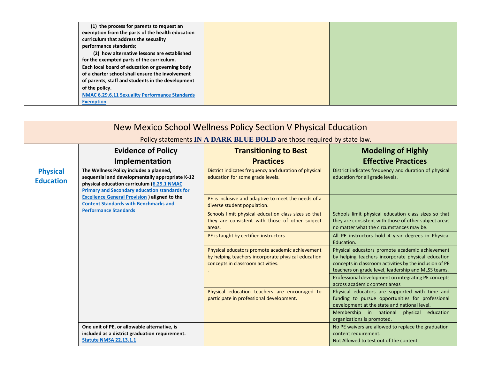| (1) the process for parents to request an             |  |
|-------------------------------------------------------|--|
| exemption from the parts of the health education      |  |
| curriculum that address the sexuality                 |  |
| performance standards;                                |  |
| (2) how alternative lessons are established           |  |
| for the exempted parts of the curriculum.             |  |
| Each local board of education or governing body       |  |
| of a charter school shall ensure the involvement      |  |
| of parents, staff and students in the development     |  |
| of the policy.                                        |  |
| <b>NMAC 6.29.6.11 Sexuality Performance Standards</b> |  |
| <b>Exemption</b>                                      |  |

| New Mexico School Wellness Policy Section V Physical Education         |                                                                                                                                                                                                  |                                                                                                                                            |                                                                                                                                                                                                                         |
|------------------------------------------------------------------------|--------------------------------------------------------------------------------------------------------------------------------------------------------------------------------------------------|--------------------------------------------------------------------------------------------------------------------------------------------|-------------------------------------------------------------------------------------------------------------------------------------------------------------------------------------------------------------------------|
| Policy statements IN A DARK BLUE BOLD are those required by state law. |                                                                                                                                                                                                  |                                                                                                                                            |                                                                                                                                                                                                                         |
|                                                                        | <b>Evidence of Policy</b>                                                                                                                                                                        | <b>Transitioning to Best</b>                                                                                                               | <b>Modeling of Highly</b>                                                                                                                                                                                               |
|                                                                        | Implementation                                                                                                                                                                                   | <b>Practices</b>                                                                                                                           | <b>Effective Practices</b>                                                                                                                                                                                              |
| <b>Physical</b><br><b>Education</b>                                    | The Wellness Policy includes a planned,<br>sequential and developmentally appropriate K-12<br>physical education curriculum (6.29.1 NMAC<br><b>Primary and Secondary education standards for</b> | District indicates frequency and duration of physical<br>education for some grade levels.                                                  | District indicates frequency and duration of physical<br>education for all grade levels.                                                                                                                                |
|                                                                        | <b>Excellence General Provision ) aligned to the</b><br><b>Content Standards with Benchmarks and</b>                                                                                             | PE is inclusive and adaptive to meet the needs of a<br>diverse student population.                                                         |                                                                                                                                                                                                                         |
|                                                                        | <b>Performance Standards</b>                                                                                                                                                                     | Schools limit physical education class sizes so that<br>they are consistent with those of other subject<br>areas.                          | Schools limit physical education class sizes so that<br>they are consistent with those of other subject areas<br>no matter what the circumstances may be.                                                               |
|                                                                        |                                                                                                                                                                                                  | PE is taught by certified instructors                                                                                                      | All PE instructors hold 4 year degrees in Physical<br>Education.                                                                                                                                                        |
|                                                                        |                                                                                                                                                                                                  | Physical educators promote academic achievement<br>by helping teachers incorporate physical education<br>concepts in classroom activities. | Physical educators promote academic achievement<br>by helping teachers incorporate physical education<br>concepts in classroom activities by the inclusion of PE<br>teachers on grade level, leadership and MLSS teams. |
|                                                                        |                                                                                                                                                                                                  |                                                                                                                                            | Professional development on integrating PE concepts<br>across academic content areas                                                                                                                                    |
|                                                                        |                                                                                                                                                                                                  | Physical education teachers are encouraged to<br>participate in professional development.                                                  | Physical educators are supported with time and<br>funding to pursue opportunities for professional<br>development at the state and national level.                                                                      |
|                                                                        |                                                                                                                                                                                                  |                                                                                                                                            | Membership in national<br>physical education<br>organizations is promoted.                                                                                                                                              |
|                                                                        | One unit of PE, or allowable alternative, is<br>included as a district graduation requirement.<br><b>Statute NMSA 22.13.1.1</b>                                                                  |                                                                                                                                            | No PE waivers are allowed to replace the graduation<br>content requirement.<br>Not Allowed to test out of the content.                                                                                                  |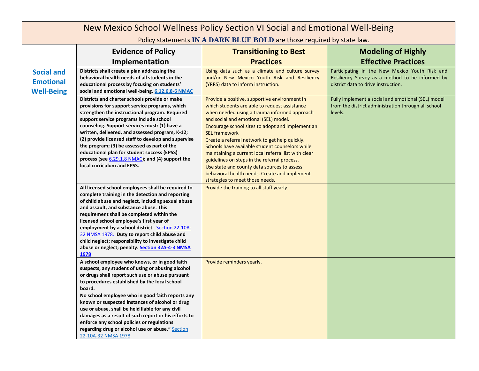| New Mexico School Wellness Policy Section VI Social and Emotional Well-Being |                                                                                                                                                                                                                                                                                                                                                                                                                                                                                                                                                               |                                                                                                                                                                                                                                                                                                                                                                                                                                                                                                                                                                                                                     |                                                                                                                                          |
|------------------------------------------------------------------------------|---------------------------------------------------------------------------------------------------------------------------------------------------------------------------------------------------------------------------------------------------------------------------------------------------------------------------------------------------------------------------------------------------------------------------------------------------------------------------------------------------------------------------------------------------------------|---------------------------------------------------------------------------------------------------------------------------------------------------------------------------------------------------------------------------------------------------------------------------------------------------------------------------------------------------------------------------------------------------------------------------------------------------------------------------------------------------------------------------------------------------------------------------------------------------------------------|------------------------------------------------------------------------------------------------------------------------------------------|
|                                                                              | Policy statements IN A DARK BLUE BOLD are those required by state law.                                                                                                                                                                                                                                                                                                                                                                                                                                                                                        |                                                                                                                                                                                                                                                                                                                                                                                                                                                                                                                                                                                                                     |                                                                                                                                          |
|                                                                              | <b>Evidence of Policy</b>                                                                                                                                                                                                                                                                                                                                                                                                                                                                                                                                     | <b>Transitioning to Best</b>                                                                                                                                                                                                                                                                                                                                                                                                                                                                                                                                                                                        | <b>Modeling of Highly</b>                                                                                                                |
|                                                                              | Implementation                                                                                                                                                                                                                                                                                                                                                                                                                                                                                                                                                | <b>Practices</b>                                                                                                                                                                                                                                                                                                                                                                                                                                                                                                                                                                                                    | <b>Effective Practices</b>                                                                                                               |
| <b>Social and</b><br><b>Emotional</b><br><b>Well-Being</b>                   | Districts shall create a plan addressing the<br>behavioral health needs of all students in the<br>educational process by focusing on students'<br>social and emotional well-being. 6.12.6.8-6 NMAC                                                                                                                                                                                                                                                                                                                                                            | Using data such as a climate and culture survey<br>and/or New Mexico Youth Risk and Resiliency<br>(YRRS) data to inform instruction.                                                                                                                                                                                                                                                                                                                                                                                                                                                                                | Participating in the New Mexico Youth Risk and<br>Resiliency Survey as a method to be informed by<br>district data to drive instruction. |
|                                                                              | Districts and charter schools provide or make<br>provisions for support service programs, which<br>strengthen the instructional program. Required<br>support service programs include school<br>counseling. Support services must: (1) have a<br>written, delivered, and assessed program, K-12;<br>(2) provide licensed staff to develop and supervise<br>the program; (3) be assessed as part of the<br>educational plan for student success (EPSS)<br>process (see 6.29.1.8 NMAC); and (4) support the<br>local curriculum and EPSS.                       | Provide a positive, supportive environment in<br>which students are able to request assistance<br>when needed using a trauma informed approach<br>and social and emotional (SEL) model.<br>Encourage school sites to adopt and implement an<br><b>SEL framework</b><br>Create a referral network to get help quickly.<br>Schools have available student counselors while<br>maintaining a current local referral list with clear<br>guidelines on steps in the referral process.<br>Use state and county data sources to assess<br>behavioral health needs. Create and implement<br>strategies to meet those needs. | Fully implement a social and emotional (SEL) model<br>from the district administration through all school<br>levels.                     |
|                                                                              | All licensed school employees shall be required to<br>complete training in the detection and reporting<br>of child abuse and neglect, including sexual abuse<br>and assault, and substance abuse. This<br>requirement shall be completed within the<br>licensed school employee's first year of<br>employment by a school district. Section 22-10A-<br>32 NMSA 1978. Duty to report child abuse and<br>child neglect; responsibility to investigate child<br>abuse or neglect; penalty. Section 32A-4-3 NMSA<br>1978                                          | Provide the training to all staff yearly.                                                                                                                                                                                                                                                                                                                                                                                                                                                                                                                                                                           |                                                                                                                                          |
|                                                                              | A school employee who knows, or in good faith<br>suspects, any student of using or abusing alcohol<br>or drugs shall report such use or abuse pursuant<br>to procedures established by the local school<br>board.<br>No school employee who in good faith reports any<br>known or suspected instances of alcohol or drug<br>use or abuse, shall be held liable for any civil<br>damages as a result of such report or his efforts to<br>enforce any school policies or regulations<br>regarding drug or alcohol use or abuse." Section<br>22-10A-32 NMSA 1978 | Provide reminders yearly.                                                                                                                                                                                                                                                                                                                                                                                                                                                                                                                                                                                           |                                                                                                                                          |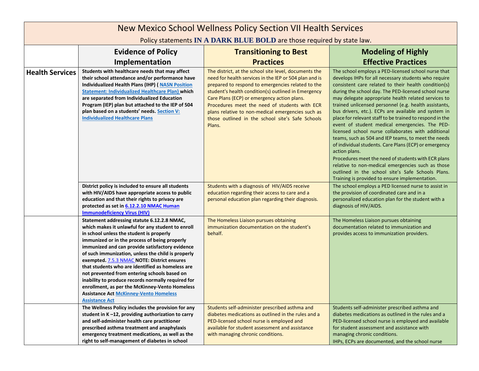| New Mexico School Wellness Policy Section VII Health Services          |                                                                                                                                                                                                                                                                                                                                                                                                                                                                                                                                                                                                                                             |                                                                                                                                                                                                                                                                                                                                                                                                                                                |                                                                                                                                                                                                                                                                                                                                                                                                                                                                                                                                                                                                                                                                                                                                                                                                                                                                                                                             |
|------------------------------------------------------------------------|---------------------------------------------------------------------------------------------------------------------------------------------------------------------------------------------------------------------------------------------------------------------------------------------------------------------------------------------------------------------------------------------------------------------------------------------------------------------------------------------------------------------------------------------------------------------------------------------------------------------------------------------|------------------------------------------------------------------------------------------------------------------------------------------------------------------------------------------------------------------------------------------------------------------------------------------------------------------------------------------------------------------------------------------------------------------------------------------------|-----------------------------------------------------------------------------------------------------------------------------------------------------------------------------------------------------------------------------------------------------------------------------------------------------------------------------------------------------------------------------------------------------------------------------------------------------------------------------------------------------------------------------------------------------------------------------------------------------------------------------------------------------------------------------------------------------------------------------------------------------------------------------------------------------------------------------------------------------------------------------------------------------------------------------|
| Policy statements IN A DARK BLUE BOLD are those required by state law. |                                                                                                                                                                                                                                                                                                                                                                                                                                                                                                                                                                                                                                             |                                                                                                                                                                                                                                                                                                                                                                                                                                                |                                                                                                                                                                                                                                                                                                                                                                                                                                                                                                                                                                                                                                                                                                                                                                                                                                                                                                                             |
|                                                                        | <b>Evidence of Policy</b>                                                                                                                                                                                                                                                                                                                                                                                                                                                                                                                                                                                                                   | <b>Transitioning to Best</b>                                                                                                                                                                                                                                                                                                                                                                                                                   | <b>Modeling of Highly</b>                                                                                                                                                                                                                                                                                                                                                                                                                                                                                                                                                                                                                                                                                                                                                                                                                                                                                                   |
|                                                                        | Implementation                                                                                                                                                                                                                                                                                                                                                                                                                                                                                                                                                                                                                              | <b>Practices</b>                                                                                                                                                                                                                                                                                                                                                                                                                               | <b>Effective Practices</b>                                                                                                                                                                                                                                                                                                                                                                                                                                                                                                                                                                                                                                                                                                                                                                                                                                                                                                  |
| <b>Health Services</b>                                                 | Students with healthcare needs that may affect<br>their school attendance and/or performance have<br><b>Individualized Health Plans (IHP) (NASN Position</b><br><b>Statement: Individualized Healthcare Plan) which</b><br>are separated from Individualized Education<br>Program (IEP) plan but attached to the IEP of 504<br>plan based on a students' needs. Section V:<br><b>Individualized Healthcare Plans</b>                                                                                                                                                                                                                        | The district, at the school site level, documents the<br>need for health services in the IEP or 504 plan and is<br>prepared to respond to emergencies related to the<br>student's health condition(s) outlined in Emergency<br>Care Plans (ECP) or emergency action plans.<br>Procedures meet the need of students with ECR<br>plans relative to non-medical emergencies such as<br>those outlined in the school site's Safe Schools<br>Plans. | The school employs a PED-licensed school nurse that<br>develops IHPs for all necessary students who require<br>consistent care related to their health condition(s)<br>during the school day. The PED-licensed school nurse<br>may delegate appropriate health related services to<br>trained unlicensed personnel (e.g. health assistants,<br>bus drivers, etc.). ECPs are available and system in<br>place for relevant staff to be trained to respond in the<br>event of student medical emergencies. The PED-<br>licensed school nurse collaborates with additional<br>teams, such as 504 and IEP teams, to meet the needs<br>of individual students. Care Plans (ECP) or emergency<br>action plans.<br>Procedures meet the need of students with ECR plans<br>relative to non-medical emergencies such as those<br>outlined in the school site's Safe Schools Plans.<br>Training is provided to ensure implementation. |
|                                                                        | District policy is included to ensure all students<br>with HIV/AIDS have appropriate access to public<br>education and that their rights to privacy are<br>protected as set in 6.12.2.10 NMAC Human<br><b>Immunodeficiency Virus (HIV)</b>                                                                                                                                                                                                                                                                                                                                                                                                  | Students with a diagnosis of HIV/AIDS receive<br>education regarding their access to care and a<br>personal education plan regarding their diagnosis.                                                                                                                                                                                                                                                                                          | The school employs a PED licensed nurse to assist in<br>the provision of coordinated care and in a<br>personalized education plan for the student with a<br>diagnosis of HIV/AIDS.                                                                                                                                                                                                                                                                                                                                                                                                                                                                                                                                                                                                                                                                                                                                          |
|                                                                        | Statement addressing statute 6.12.2.8 NMAC,<br>which makes it unlawful for any student to enroll<br>in school unless the student is properly<br>immunized or in the process of being properly<br>immunized and can provide satisfactory evidence<br>of such immunization, unless the child is properly<br>exempted. 7.5.3 NMAC NOTE: District ensures<br>that students who are identified as homeless are<br>not prevented from entering schools based on<br>inability to produce records normally required for<br>enrollment, as per the McKinney-Vento Homeless<br><b>Assistance Act McKinney-Vento Homeless</b><br><b>Assistance Act</b> | The Homeless Liaison pursues obtaining<br>immunization documentation on the student's<br>behalf.                                                                                                                                                                                                                                                                                                                                               | The Homeless Liaison pursues obtaining<br>documentation related to immunization and<br>provides access to immunization providers.                                                                                                                                                                                                                                                                                                                                                                                                                                                                                                                                                                                                                                                                                                                                                                                           |
|                                                                        | The Wellness Policy includes the provision for any<br>student in K-12, providing authorization to carry<br>and self-administer health care practitioner<br>prescribed asthma treatment and anaphylaxis<br>emergency treatment medications, as well as the<br>right to self-management of diabetes in school                                                                                                                                                                                                                                                                                                                                 | Students self-administer prescribed asthma and<br>diabetes medications as outlined in the rules and a<br>PED-licensed school nurse is employed and<br>available for student assessment and assistance<br>with managing chronic conditions.                                                                                                                                                                                                     | Students self-administer prescribed asthma and<br>diabetes medications as outlined in the rules and a<br>PED-licensed school nurse is employed and available<br>for student assessment and assistance with<br>managing chronic conditions.<br>IHPs, ECPs are documented, and the school nurse                                                                                                                                                                                                                                                                                                                                                                                                                                                                                                                                                                                                                               |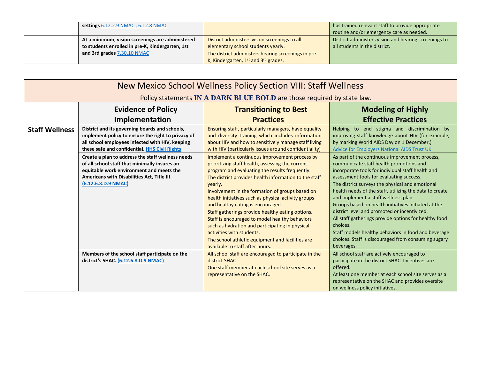| settings 6.12.2.9 NMAC, 6.12.8 NMAC              |                                                              | has trained relevant staff to provide appropriate<br>routine and/or emergency care as needed. |
|--------------------------------------------------|--------------------------------------------------------------|-----------------------------------------------------------------------------------------------|
| At a minimum, vision screenings are administered | District administers vision screenings to all                | District administers vision and hearing screenings to                                         |
| to students enrolled in pre-K, Kindergarten, 1st | elementary school students yearly.                           | all students in the district.                                                                 |
| and 3rd grades 7.30.10 NMAC                      | The district administers hearing screenings in pre-          |                                                                                               |
|                                                  | K, Kindergarten, 1 <sup>st</sup> and 3 <sup>rd</sup> grades. |                                                                                               |

| New Mexico School Wellness Policy Section VIII: Staff Wellness         |                                                                                                                                                                                                                     |                                                                                                                                                                                                                                                                                                                                                                                                                                                                                                                                                                                                                                                     |                                                                                                                                                                                                                                                                                                                                                                                                                                                                                                                                                                                                                                                          |
|------------------------------------------------------------------------|---------------------------------------------------------------------------------------------------------------------------------------------------------------------------------------------------------------------|-----------------------------------------------------------------------------------------------------------------------------------------------------------------------------------------------------------------------------------------------------------------------------------------------------------------------------------------------------------------------------------------------------------------------------------------------------------------------------------------------------------------------------------------------------------------------------------------------------------------------------------------------------|----------------------------------------------------------------------------------------------------------------------------------------------------------------------------------------------------------------------------------------------------------------------------------------------------------------------------------------------------------------------------------------------------------------------------------------------------------------------------------------------------------------------------------------------------------------------------------------------------------------------------------------------------------|
| Policy statements IN A DARK BLUE BOLD are those required by state law. |                                                                                                                                                                                                                     |                                                                                                                                                                                                                                                                                                                                                                                                                                                                                                                                                                                                                                                     |                                                                                                                                                                                                                                                                                                                                                                                                                                                                                                                                                                                                                                                          |
|                                                                        | <b>Evidence of Policy</b>                                                                                                                                                                                           | <b>Transitioning to Best</b>                                                                                                                                                                                                                                                                                                                                                                                                                                                                                                                                                                                                                        | <b>Modeling of Highly</b>                                                                                                                                                                                                                                                                                                                                                                                                                                                                                                                                                                                                                                |
|                                                                        | Implementation                                                                                                                                                                                                      | <b>Practices</b>                                                                                                                                                                                                                                                                                                                                                                                                                                                                                                                                                                                                                                    | <b>Effective Practices</b>                                                                                                                                                                                                                                                                                                                                                                                                                                                                                                                                                                                                                               |
| <b>Staff Wellness</b>                                                  | District and its governing boards and schools,<br>implement policy to ensure the right to privacy of<br>all school employees infected with HIV, keeping<br>these safe and confidential. HHS Civil Rights            | Ensuring staff, particularly managers, have equality<br>and diversity training which includes information<br>about HIV and how to sensitively manage staff living<br>with HIV (particularly issues around confidentiality)                                                                                                                                                                                                                                                                                                                                                                                                                          | Helping to end stigma and discrimination by<br>improving staff knowledge about HIV (for example,<br>by marking World AIDS Day on 1 December.)<br><b>Advice for Employers National AIDS Trust UK</b>                                                                                                                                                                                                                                                                                                                                                                                                                                                      |
|                                                                        | Create a plan to address the staff wellness needs<br>of all school staff that minimally insures an<br>equitable work environment and meets the<br>Americans with Disabilities Act, Title III<br>(6.12.6.8.D.9 NMAC) | Implement a continuous improvement process by<br>prioritizing staff health, assessing the current<br>program and evaluating the results frequently.<br>The district provides health information to the staff<br>yearly.<br>Involvement in the formation of groups based on<br>health initiatives such as physical activity groups<br>and healthy eating is encouraged.<br>Staff gatherings provide healthy eating options.<br>Staff is encouraged to model healthy behaviors<br>such as hydration and participating in physical<br>activities with students.<br>The school athletic equipment and facilities are<br>available to staff after hours. | As part of the continuous improvement process,<br>communicate staff health promotions and<br>incorporate tools for individual staff health and<br>assessment tools for evaluating success.<br>The district surveys the physical and emotional<br>health needs of the staff, utilizing the data to create<br>and implement a staff wellness plan.<br>Groups based on health initiatives initiated at the<br>district level and promoted or incentivized.<br>All staff gatherings provide options for healthy food<br>choices.<br>Staff models healthy behaviors in food and beverage<br>choices. Staff is discouraged from consuming sugary<br>beverages. |
|                                                                        | Members of the school staff participate on the<br>district's SHAC. (6.12.6.8.D.9 NMAC)                                                                                                                              | All school staff are encouraged to participate in the<br>district SHAC.<br>One staff member at each school site serves as a<br>representative on the SHAC.                                                                                                                                                                                                                                                                                                                                                                                                                                                                                          | All school staff are actively encouraged to<br>participate in the district SHAC. Incentives are<br>offered.<br>At least one member at each school site serves as a<br>representative on the SHAC and provides oversite<br>on wellness policy initiatives.                                                                                                                                                                                                                                                                                                                                                                                                |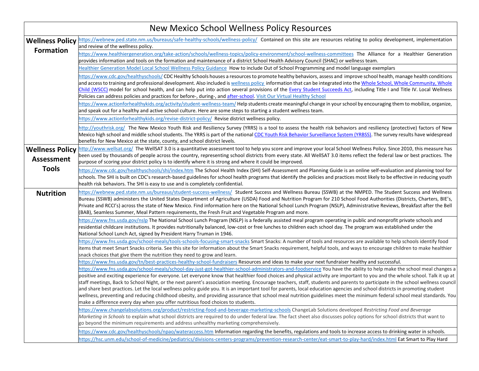| New Mexico School Wellness Policy Resources |                                                                                                                                                                                                                                                                                                                                                                                                                                                                                                                                                                                                                                                                                                                                                                                                                                                                                                                                                                                  |  |
|---------------------------------------------|----------------------------------------------------------------------------------------------------------------------------------------------------------------------------------------------------------------------------------------------------------------------------------------------------------------------------------------------------------------------------------------------------------------------------------------------------------------------------------------------------------------------------------------------------------------------------------------------------------------------------------------------------------------------------------------------------------------------------------------------------------------------------------------------------------------------------------------------------------------------------------------------------------------------------------------------------------------------------------|--|
| <b>Wellness Policy</b>                      | https://webnew.ped.state.nm.us/bureaus/safe-healthy-schools/wellness-policy/ Contained on this site are resources relating to policy development, implementation<br>and review of the wellness policy.                                                                                                                                                                                                                                                                                                                                                                                                                                                                                                                                                                                                                                                                                                                                                                           |  |
| <b>Formation</b>                            | https://www.healthiergeneration.org/take-action/schools/wellness-topics/policy-environment/school-wellness-committees The Alliance for a Healthier Generation<br>provides information and tools on the formation and maintenance of a district School Health Advisory Council (SHAC) or wellness team.                                                                                                                                                                                                                                                                                                                                                                                                                                                                                                                                                                                                                                                                           |  |
|                                             | Healthier Generation Model Local School Wellness Policy Guidance How to include Out of School Programming and model language exemplars                                                                                                                                                                                                                                                                                                                                                                                                                                                                                                                                                                                                                                                                                                                                                                                                                                           |  |
|                                             | https://www.cdc.gov/healthyschools/ CDC Healthy Schools houses a resources to promote healthy behaviors, assess and improve school health, manage health conditions<br>and access to training and professional development. Also included is wellness policy information that can be integrated into the Whole School, Whole Community, Whole<br>Child (WSCC) model for school health, and can help put into action several provisions of the Every Student Succeeds Act, including Title I and Title IV. Local Wellness<br>Policies can address policies and practices for before-, during-, and after-school. Visit Our Virtual Healthy School                                                                                                                                                                                                                                                                                                                                 |  |
|                                             | https://www.actionforhealthykids.org/activity/student-wellness-team/Help students create meaningful change in your school by encouraging them to mobilize, organize,<br>and speak out for a healthy and active school culture. Here are some steps to starting a student wellness team.                                                                                                                                                                                                                                                                                                                                                                                                                                                                                                                                                                                                                                                                                          |  |
|                                             | https://www.actionforhealthykids.org/revise-district-policy/ Revise district wellness policy.                                                                                                                                                                                                                                                                                                                                                                                                                                                                                                                                                                                                                                                                                                                                                                                                                                                                                    |  |
|                                             | http://youthrisk.org/ The New Mexico Youth Risk and Resiliency Survey (YRRS) is a tool to assess the health risk behaviors and resiliency (protective) factors of New<br>Mexico high school and middle school students. The YRRS is part of the national CDC Youth Risk Behavior Surveillance System (YRBSS). The survey results have widespread<br>benefits for New Mexico at the state, county, and school district levels.                                                                                                                                                                                                                                                                                                                                                                                                                                                                                                                                                    |  |
| <b>Wellness Policy</b><br><b>Assessment</b> | http://www.wellsat.org/ The WellSAT 3.0 is a quantitative assessment tool to help you score and improve your local School Wellness Policy. Since 2010, this measure has<br>been used by thousands of people across the country, representing school districts from every state. All WellSAT 3.0 items reflect the federal law or best practices. The<br>purpose of scoring your district policy is to identify where it is strong and where it could be improved.                                                                                                                                                                                                                                                                                                                                                                                                                                                                                                                |  |
| <b>Tools</b>                                | https://www.cdc.gov/healthyschools/shi/index.htm The School Health Index (SHI) Self-Assessment and Planning Guide is an online self-evaluation and planning tool for<br>schools. The SHI is built on CDC's research-based guidelines for school health programs that identify the policies and practices most likely to be effective in reducing youth<br>health risk behaviors. The SHI is easy to use and is completely confidential.                                                                                                                                                                                                                                                                                                                                                                                                                                                                                                                                          |  |
| <b>Nutrition</b>                            | https://webnew.ped.state.nm.us/bureaus/student-success-wellness/ Student Success and Wellness Bureau (SSWB) at the NMPED. The Student Success and Wellness<br>Bureau (SSWB) administers the United States Department of Agriculture (USDA) Food and Nutrition Program for 210 School Food Authorities (Districts, Charters, BIE's,<br>Private and RCCI's) across the state of New Mexico. Find information here on the National School Lunch Program (NSLP), Administrative Reviews, Breakfast after the Bell<br>(BAB), Seamless Summer, Meal Pattern requirements, the Fresh Fruit and Vegetable Program and more.                                                                                                                                                                                                                                                                                                                                                              |  |
|                                             | https://www.fns.usda.gov/nslp The National School Lunch Program (NSLP) is a federally assisted meal program operating in public and nonprofit private schools and<br>residential childcare institutions. It provides nutritionally balanced, low-cost or free lunches to children each school day. The program was established under the<br>National School Lunch Act, signed by President Harry Truman in 1946.                                                                                                                                                                                                                                                                                                                                                                                                                                                                                                                                                                 |  |
|                                             | https://www.fns.usda.gov/school-meals/tools-schools-focusing-smart-snacks Smart Snacks: A number of tools and resources are available to help schools identify food<br>items that meet Smart Snacks criteria. See this site for information about the Smart Snacks requirement, helpful tools, and ways to encourage children to make healthier<br>snack choices that give them the nutrition they need to grow and learn.                                                                                                                                                                                                                                                                                                                                                                                                                                                                                                                                                       |  |
|                                             | https://www.fns.usda.gov/tn/best-practices-healthy-school-fundraisers Resources and ideas to make your next fundraiser healthy and successful.                                                                                                                                                                                                                                                                                                                                                                                                                                                                                                                                                                                                                                                                                                                                                                                                                                   |  |
|                                             | https://www.fns.usda.gov/school-meals/school-day-just-got-healthier-school-administrators-and-foodservice You have the ability to help make the school meal changes a<br>positive and exciting experience for everyone. Let everyone know that healthier food choices and physical activity are important to you and the whole school. Talk it up at<br>staff meetings, Back to School Night, or the next parent's association meeting. Encourage teachers, staff, students and parents to participate in the school wellness council<br>and share best practices. Let the local wellness policy guide you. It is an important tool for parents, local education agencies and school districts in promoting student<br>wellness, preventing and reducing childhood obesity, and providing assurance that school meal nutrition guidelines meet the minimum federal school meal standards. You<br>make a difference every day when you offer nutritious food choices to students. |  |
|                                             | https://www.changelabsolutions.org/product/restricting-food-and-beverage-marketing-schools ChangeLab Solutions developed Restricting Food and Beverage<br>Marketing in Schools to explain what school districts are required to do under federal law. The fact sheet also discusses policy options for school districts that want to<br>go beyond the minimum requirements and address unhealthy marketing comprehensively.                                                                                                                                                                                                                                                                                                                                                                                                                                                                                                                                                      |  |
|                                             | https://www.cdc.gov/healthyschools/npao/wateraccess.htm Information regarding the benefits, regulations and tools to increase access to drinking water in schools.<br>https://hsc.unm.edu/school-of-medicine/pediatrics/divisions-centers-programs/prevention-research-center/eat-smart-to-play-hard/index.html Eat Smart to Play Hard                                                                                                                                                                                                                                                                                                                                                                                                                                                                                                                                                                                                                                           |  |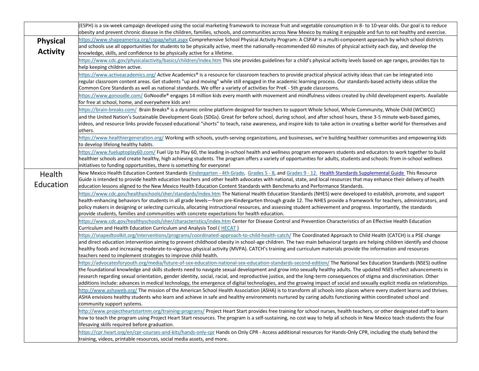|                                    | (ESPH) is a six-week campaign developed using the social marketing framework to increase fruit and vegetable consumption in 8- to 10-year olds. Our goal is to reduce<br>obesity and prevent chronic disease in the children, families, schools, and communities across New Mexico by making it enjoyable and fun to eat healthy and exercise.                                                                                                                                                                                                                                                                                                                                             |
|------------------------------------|--------------------------------------------------------------------------------------------------------------------------------------------------------------------------------------------------------------------------------------------------------------------------------------------------------------------------------------------------------------------------------------------------------------------------------------------------------------------------------------------------------------------------------------------------------------------------------------------------------------------------------------------------------------------------------------------|
| <b>Physical</b><br><b>Activity</b> | https://www.shapeamerica.org/cspap/what.aspx Comprehensive School Physical Activity Program: A CSPAP is a multi-component approach by which school districts<br>and schools use all opportunities for students to be physically active, meet the nationally-recommended 60 minutes of physical activity each day, and develop the<br>knowledge, skills, and confidence to be physically active for a lifetime.                                                                                                                                                                                                                                                                             |
|                                    | https://www.cdc.gov/physicalactivity/basics/children/index.htm This site provides guidelines for a child's physical activity levels based on age ranges, provides tips to<br>help keeping children active.                                                                                                                                                                                                                                                                                                                                                                                                                                                                                 |
|                                    | https://www.activeacademics.org/ Active Academics® is a resource for classroom teachers to provide practical physical activity ideas that can be integrated into<br>regular classroom content areas. Get students "up and moving" while still engaged in the academic learning process. Our standards-based activity ideas utilize the<br>Common Core Standards as well as national standards. We offer a variety of activities for PreK - 5th grade classrooms.                                                                                                                                                                                                                           |
|                                    | https://www.gonoodle.com/ GoNoodle® engages 14 million kids every month with movement and mindfulness videos created by child development experts. Available<br>for free at school, home, and everywhere kids are!                                                                                                                                                                                                                                                                                                                                                                                                                                                                         |
|                                    | https://brain-breaks.com/ Brain Breaks® is a dynamic online platform designed for teachers to support Whole School, Whole Community, Whole Child (WCWCC)<br>and the United Nation's Sustainable Development Goals (SDGs). Great for before school, during school, and after school hours, these 3-5 minute web-based games,<br>videos, and resource links provide focused educational "shorts" to teach, raise awareness, and inspire kids to take action in creating a better world for themselves and<br>others.                                                                                                                                                                         |
|                                    | https://www.healthiergeneration.org/ Working with schools, youth-serving organizations, and businesses, we're building healthier communities and empowering kids<br>to develop lifelong healthy habits.                                                                                                                                                                                                                                                                                                                                                                                                                                                                                    |
|                                    | https://www.fueluptoplay60.com/ Fuel Up to Play 60, the leading in-school health and wellness program empowers students and educators to work together to build<br>healthier schools and create healthy, high achieving students. The program offers a variety of opportunities for adults, students and schools: from in-school wellness<br>initiatives to funding opportunities, there is something for everyone!                                                                                                                                                                                                                                                                        |
| Health<br>Education                | New Mexico Health Education Content Standards Kindergarten - 4th Grade, Grades 5 - 8, and Grades 9 - 12. Health Standards Supplemental Guide This Resource<br>Guide is intended to provide health education teachers and other health advocates with national, state, and local resources that may enhance their delivery of health<br>education lessons aligned to the New Mexico Health Education Content Standards with Benchmarks and Performance Standards.                                                                                                                                                                                                                           |
|                                    | https://www.cdc.gov/healthyschools/sher/standards/index.htm The National Health Education Standards (NHES) were developed to establish, promote, and support<br>health-enhancing behaviors for students in all grade levels—from pre-Kindergarten through grade 12. The NHES provide a framework for teachers, administrators, and<br>policy makers in designing or selecting curricula, allocating instructional resources, and assessing student achievement and progress. Importantly, the standards<br>provide students, families and communities with concrete expectations for health education.                                                                                     |
|                                    | https://www.cdc.gov/healthyschools/sher/characteristics/index.htm Center for Disease Control and Prevention Characteristics of an Effective Health Education<br>Curriculum and Health Education Curriculum and Analysis Tool (HECAT)                                                                                                                                                                                                                                                                                                                                                                                                                                                       |
|                                    | https://snapedtoolkit.org/interventions/programs/coordinated-approach-to-child-health-catch/The Coordinated Approach to Child Health (CATCH) is a PSE change<br>and direct education intervention aiming to prevent childhood obesity in school-age children. The two main behavioral targets are helping children identify and choose<br>healthy foods and increasing moderate-to-vigorous physical activity (MVPA). CATCH's training and curriculum materials provide the information and resources<br>teachers need to implement strategies to improve child health.                                                                                                                    |
|                                    | https://advocatesforyouth.org/media/future-of-sex-education-national-sex-education-standards-second-edition/ The National Sex Education Standards (NSES) outline<br>the foundational knowledge and skills students need to navigate sexual development and grow into sexually healthy adults. The updated NSES reflect advancements in<br>research regarding sexual orientation, gender identity, social, racial, and reproductive justice, and the long-term consequences of stigma and discrimination. Other<br>additions include: advances in medical technology, the emergence of digital technologies, and the growing impact of social and sexually explicit media on relationships. |
|                                    | http://www.ashaweb.org/ The mission of the American School Health Association (ASHA) is to transform all schools into places where every student learns and thrives.<br>ASHA envisions healthy students who learn and achieve in safe and healthy environments nurtured by caring adults functioning within coordinated school and<br>community support systems.                                                                                                                                                                                                                                                                                                                           |
|                                    | http://www.projectheartstartnm.org/training-programs/ Project Heart Start provides free training for school nurses, health teachers, or other designated staff to learn<br>how to teach the program using Project Heart Start resources. The program is a self-sustaining, no cost way to help all schools in New Mexico teach students the four<br>lifesaving skills required before graduation.                                                                                                                                                                                                                                                                                          |
|                                    | https://cpr.heart.org/en/cpr-courses-and-kits/hands-only-cpr Hands on Only CPR - Access additional resources for Hands-Only CPR, including the study behind the<br>training, videos, printable resources, social media assets, and more.                                                                                                                                                                                                                                                                                                                                                                                                                                                   |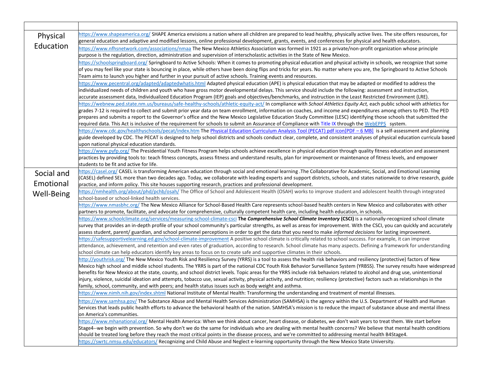| Physical   | https://www.shapeamerica.org/ SHAPE America envisions a nation where all children are prepared to lead healthy, physically active lives. The site offers resources, for                                                                                                                                                               |
|------------|---------------------------------------------------------------------------------------------------------------------------------------------------------------------------------------------------------------------------------------------------------------------------------------------------------------------------------------|
| Education  | general education and adaptive and modified lessons, online professional development, grants, events, and conferences for physical and health educators.                                                                                                                                                                              |
|            | https://www.nfhsnetwork.com/associations/nmaa The New Mexico Athletics Association was formed in 1921 as a private/non-profit organization whose principle                                                                                                                                                                            |
|            | purpose is the regulation, direction, administration and supervision of interscholastic activities in the State of New Mexico.                                                                                                                                                                                                        |
|            | https://schoolspringboard.org/ Springboard to Active Schools: When it comes to promoting physical education and physical activity in schools, we recognize that some                                                                                                                                                                  |
|            | of you may feel like your state is bouncing in place, while others have been doing flips and tricks for years. No matter where you are, the Springboard to Active Schools<br>Team aims to launch you higher and further in your pursuit of active schools. Training events and resources.                                             |
|            | https://www.pecentral.org/adapted/adaptedwhatis.html Adapted physical education (APE) is physical education that may be adapted or modified to address the                                                                                                                                                                            |
|            | individualized needs of children and youth who have gross motor developmental delays. This service should include the following: assessment and instruction,                                                                                                                                                                          |
|            | accurate assessment data, Individualized Education Program (IEP) goals and objectives/benchmarks, and instruction in the Least Restricted Environment (LRE).                                                                                                                                                                          |
|            | https://webnew.ped.state.nm.us/bureaus/safe-healthy-schools/athletic-equity-act/ In compliance with School Athletics Equity Act, each public school with athletics for                                                                                                                                                                |
|            | grades 7-12 is required to collect and submit prior year data on team enrollment, information on coaches, and income and expenditures among others to PED. The PED                                                                                                                                                                    |
|            | prepares and submits a report to the Governor's office and the New Mexico Legislative Education Study Committee (LESC) identifying those schools that submitted the                                                                                                                                                                   |
|            | required data. This Act is inclusive of the requirement for schools to submit an Assurance of Compliance with Title IX through the WebEPPS system.                                                                                                                                                                                    |
|            | https://www.cdc.gov/healthyschools/pecat/index.htm The Physical Education Curriculum Analysis Tool (PECAT) pdf icon[PDF - 6 MB] is a self-assessment and planning                                                                                                                                                                     |
|            | guide developed by CDC. The PECAT is designed to help school districts and schools conduct clear, complete, and consistent analyses of physical education curricula based                                                                                                                                                             |
|            | upon national physical education standards.                                                                                                                                                                                                                                                                                           |
|            | https://www.pyfp.org/The Presidential Youth Fitness Program helps schools achieve excellence in physical education through quality fitness education and assessment                                                                                                                                                                   |
|            | practices by providing tools to: teach fitness concepts, assess fitness and understand results, plan for improvement or maintenance of fitness levels, and empower<br>students to be fit and active for life.                                                                                                                         |
|            | https://casel.org/ CASEL is transforming American education through social and emotional learning .The Collaborative for Academic, Social, and Emotional Learning                                                                                                                                                                     |
| Social and | (CASEL) defined SEL more than two decades ago. Today, we collaborate with leading experts and support districts, schools, and states nationwide to drive research, guide                                                                                                                                                              |
| Emotional  | practice, and inform policy. This site houses supporting research, practices and professional development.                                                                                                                                                                                                                            |
| Well-Being | https://nmhealth.org/about/phd/pchb/osah/ The Office of School and Adolescent Health (OSAH) works to improve student and adolescent health through integrated                                                                                                                                                                         |
|            | school-based or school-linked health services.                                                                                                                                                                                                                                                                                        |
|            | https://www.nmasbhc.org/ The New Mexico Alliance for School-Based Health Care represents school-based health centers in New Mexico and collaborates with other                                                                                                                                                                        |
|            | partners to promote, facilitate, and advocate for comprehensive, culturally competent health care, including health education, in schools.                                                                                                                                                                                            |
|            | https://www.schoolclimate.org/services/measuring-school-climate-csci The Comprehensive School Climate Inventory (CSCI) is a nationally-recognized school climate                                                                                                                                                                      |
|            | survey that provides an in-depth profile of your school community's particular strengths, as well as areas for improvement. With the CSCI, you can quickly and accurately                                                                                                                                                             |
|            | assess student, parent/ guardian, and school personnel perceptions in order to get the data that you need to make informed decisions for lasting improvement.<br>https://safesupportivelearning.ed.gov/school-climate-improvement A positive school climate is critically related to school success. For example, it can improve      |
|            | attendance, achievement, and retention and even rates of graduation, according to research. School climate has many aspects. Defining a framework for understanding                                                                                                                                                                   |
|            | school climate can help educators identify key areas to focus on to create safe and supportive climates in their schools.                                                                                                                                                                                                             |
|            | http://youthrisk.org/ The New Mexico Youth Risk and Resiliency Survey (YRRS) is a tool to assess the health risk behaviors and resiliency (protective) factors of New                                                                                                                                                                 |
|            | Mexico high school and middle school students. The YRRS is part of the national CDC Youth Risk Behavior Surveillance System (YRBSS). The survey results have widespread                                                                                                                                                               |
|            | benefits for New Mexico at the state, county, and school district levels. Topic areas for the YRRS include risk behaviors related to alcohol and drug use, unintentional                                                                                                                                                              |
|            | injury, violence, suicidal ideation and attempts, tobacco use, sexual activity, physical activity, and nutrition; resiliency (protective) factors such as relationships in the                                                                                                                                                        |
|            | family, school, community, and with peers; and health status issues such as body weight and asthma.                                                                                                                                                                                                                                   |
|            | https://www.nimh.nih.gov/index.shtml National Institute of Mental Health: Transforming the understanding and treatment of mental illnesses.                                                                                                                                                                                           |
|            | https://www.samhsa.gov/The Substance Abuse and Mental Health Services Administration (SAMHSA) is the agency within the U.S. Department of Health and Human                                                                                                                                                                            |
|            | Services that leads public health efforts to advance the behavioral health of the nation. SAMHSA's mission is to reduce the impact of substance abuse and mental illness                                                                                                                                                              |
|            | on America's communities.                                                                                                                                                                                                                                                                                                             |
|            | https://www.mhanational.org/ Mental Health America: When we think about cancer, heart disease, or diabetes, we don't wait years to treat them. We start before<br>Stage4--we begin with prevention. So why don't we do the same for individuals who are dealing with mental health concerns? We believe that mental health conditions |
|            | should be treated long before they reach the most critical points in the disease process, and we're committed to addressing mental health B4Stage4.                                                                                                                                                                                   |
|            | https://swrtc.nmsu.edu/educators/ Recognizing and Child Abuse and Neglect e-learning opportunity through the New Mexico State University.                                                                                                                                                                                             |
|            |                                                                                                                                                                                                                                                                                                                                       |